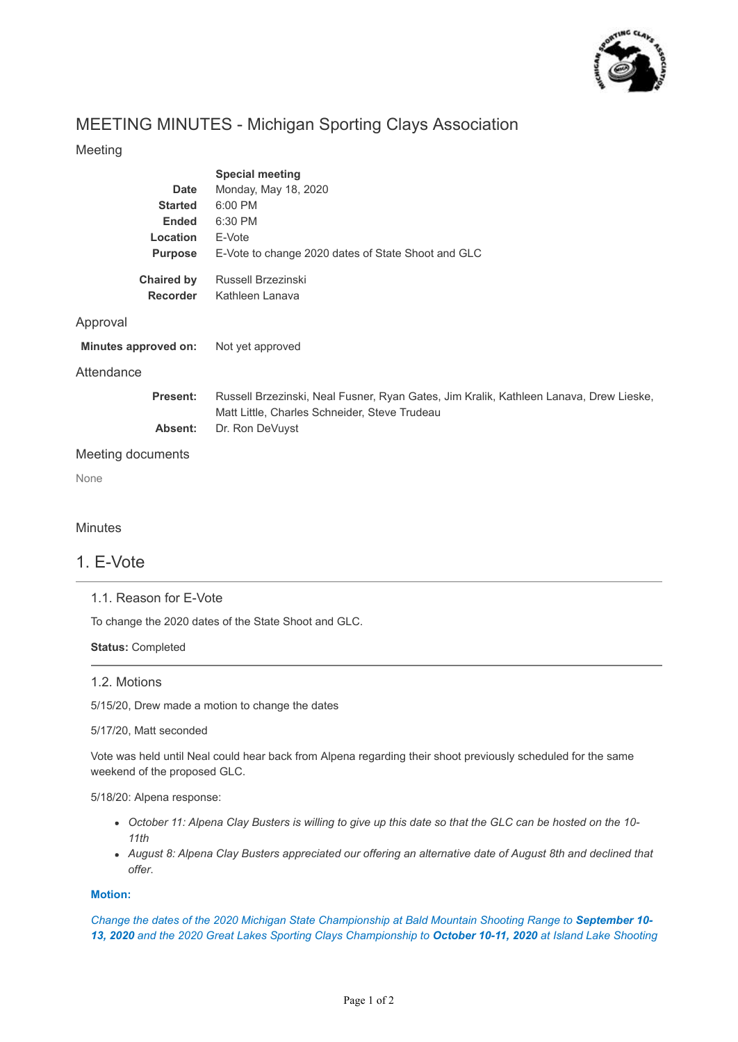

# MEETING MINUTES - Michigan Sporting Clays Association

## Meeting

|                      | <b>Special meeting</b>                                                                                                                  |
|----------------------|-----------------------------------------------------------------------------------------------------------------------------------------|
| <b>Date</b>          | Monday, May 18, 2020                                                                                                                    |
| <b>Started</b>       | 6:00 PM                                                                                                                                 |
| <b>Ended</b>         | 6:30 PM                                                                                                                                 |
| Location             | E-Vote                                                                                                                                  |
| <b>Purpose</b>       | E-Vote to change 2020 dates of State Shoot and GLC                                                                                      |
| <b>Chaired by</b>    | Russell Brzezinski                                                                                                                      |
| <b>Recorder</b>      | Kathleen Lanava                                                                                                                         |
| Approval             |                                                                                                                                         |
| Minutes approved on: | Not yet approved                                                                                                                        |
| Attendance           |                                                                                                                                         |
| Present:             | Russell Brzezinski, Neal Fusner, Ryan Gates, Jim Kralik, Kathleen Lanava, Drew Lieske,<br>Matt Little, Charles Schneider, Steve Trudeau |
| Absent:              | Dr. Ron DeVuyst                                                                                                                         |
| Meeting documents    |                                                                                                                                         |
| None                 |                                                                                                                                         |

## **Minutes**

## 1. E-Vote

## 1.1. Reason for E-Vote

To change the 2020 dates of the State Shoot and GLC.

#### **Status:** Completed

#### 1.2. Motions

5/15/20, Drew made a motion to change the dates

#### 5/17/20, Matt seconded

Vote was held until Neal could hear back from Alpena regarding their shoot previously scheduled for the same weekend of the proposed GLC.

5/18/20: Alpena response:

- *October 11: Alpena Clay Busters is willing to give up this date so that the GLC can be hosted on the 10- 11th*
- *August 8: Alpena Clay Busters appreciated our offering an alternative date of August 8th and declined that offer*.

## **Motion:**

*Change the dates of the 2020 Michigan State Championship at Bald Mountain Shooting Range to September 10- 13, 2020 and the 2020 Great Lakes Sporting Clays Championship to October 10-11, 2020 at Island Lake Shooting*